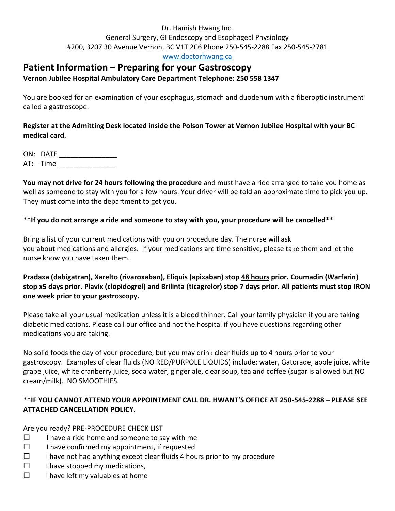#### Dr. Hamish Hwang Inc. General Surgery, GI Endoscopy and Esophageal Physiology #200, 3207 30 Avenue Vernon, BC V1T 2C6 Phone 250-545-2288 Fax 250-545-2781 [www.doctorhwang.ca](http://www.doctorhwang.ca/)

# **Patient Information – Preparing for your Gastroscopy**

### **Vernon Jubilee Hospital Ambulatory Care Department Telephone: 250 558 1347**

You are booked for an examination of your esophagus, stomach and duodenum with a fiberoptic instrument called a gastroscope.

## **Register at the Admitting Desk located inside the Polson Tower at Vernon Jubilee Hospital with your BC medical card.**

ON: DATE \_\_\_\_\_\_\_\_\_\_\_\_\_\_\_\_\_\_\_\_

AT: Time

**You may not drive for 24 hours following the procedure** and must have a ride arranged to take you home as well as someone to stay with you for a few hours. Your driver will be told an approximate time to pick you up. They must come into the department to get you.

## **\*\*If you do not arrange a ride and someone to stay with you, your procedure will be cancelled\*\***

Bring a list of your current medications with you on procedure day. The nurse will ask you about medications and allergies. If your medications are time sensitive, please take them and let the nurse know you have taken them.

## **Pradaxa (dabigatran), Xarelto (rivaroxaban), Eliquis (apixaban) stop 48 hours prior. Coumadin (Warfarin) stop x5 days prior. Plavix (clopidogrel) and Brilinta (ticagrelor) stop 7 days prior. All patients must stop IRON one week prior to your gastroscopy.**

Please take all your usual medication unless it is a blood thinner. Call your family physician if you are taking diabetic medications. Please call our office and not the hospital if you have questions regarding other medications you are taking.

No solid foods the day of your procedure, but you may drink clear fluids up to 4 hours prior to your gastroscopy. Examples of clear fluids (NO RED/PURPOLE LIQUIDS) include: water, Gatorade, apple juice, white grape juice, white cranberry juice, soda water, ginger ale, clear soup, tea and coffee (sugar is allowed but NO cream/milk). NO SMOOTHIES.

## **\*\*IF YOU CANNOT ATTEND YOUR APPOINTMENT CALL DR. HWANT'S OFFICE AT 250-545-2288 – PLEASE SEE ATTACHED CANCELLATION POLICY.**

Are you ready? PRE-PROCEDURE CHECK LIST

- $\square$  I have a ride home and someone to say with me
- $\square$  I have confirmed my appointment, if requested
- $\Box$  I have not had anything except clear fluids 4 hours prior to my procedure
- $\Box$  I have stopped my medications,
- $\square$  I have left my valuables at home